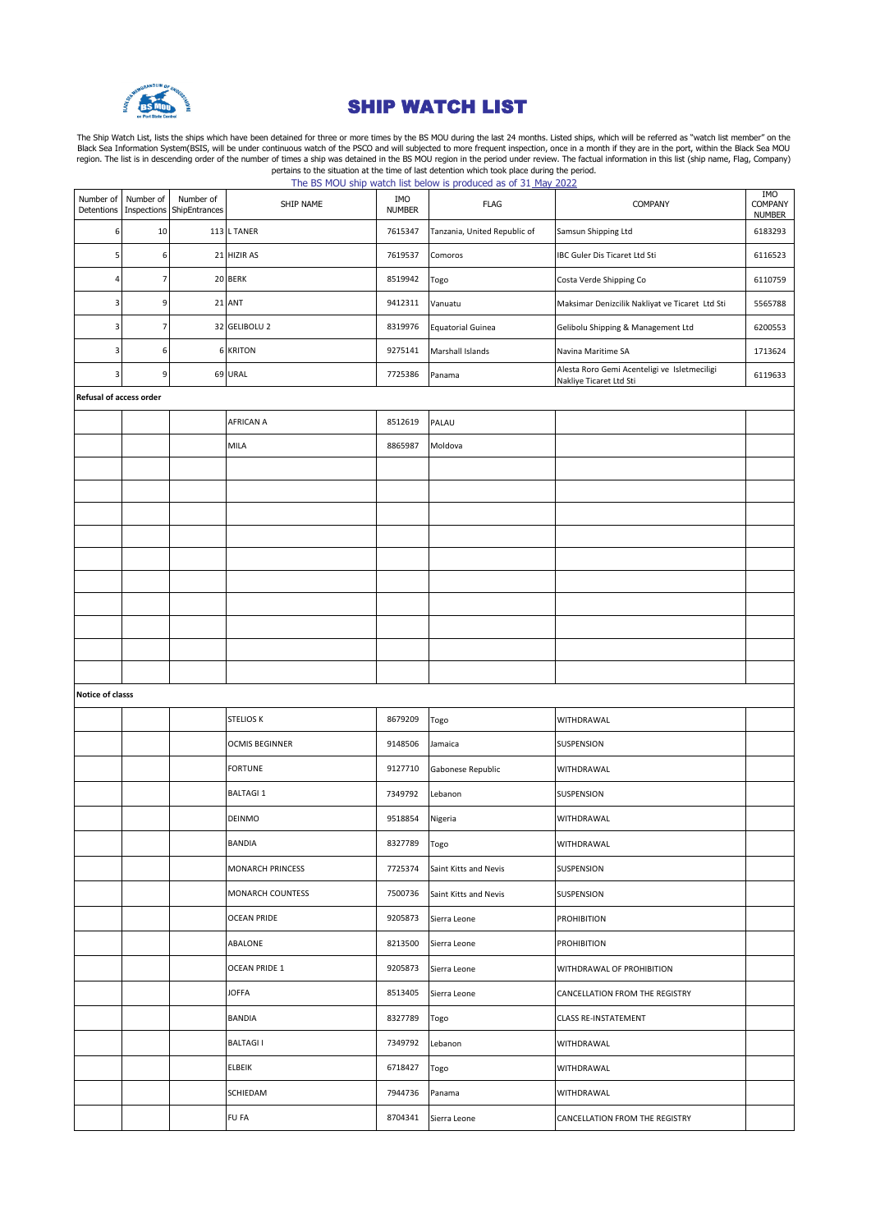

## SHIP WATCH LIST

The Ship Watch List, lists the ships which have been detained for three or more times by the BS MOU during the last 24 months. Listed ships, which will be referred as "watch list member" on the Black Sea Information System

|                         |                          |                            |                         |                      | The bond of the watch ist below is produced as of 31 <u>thay 2022</u> |                                                                         |                                        |  |
|-------------------------|--------------------------|----------------------------|-------------------------|----------------------|-----------------------------------------------------------------------|-------------------------------------------------------------------------|----------------------------------------|--|
| Number of<br>Detentions | Number of<br>Inspections | Number of<br>ShipEntrances | SHIP NAME               | IMO<br><b>NUMBER</b> | <b>FLAG</b>                                                           | COMPANY                                                                 | <b>IMO</b><br>COMPANY<br><b>NUMBER</b> |  |
| 6                       | 10                       |                            | 113 L TANER             | 7615347              | Tanzania, United Republic of                                          | Samsun Shipping Ltd                                                     | 6183293                                |  |
| 5                       | 6                        |                            | 21 HIZIR AS             | 7619537              | Comoros                                                               | IBC Guler Dis Ticaret Ltd Sti                                           | 6116523                                |  |
| 4                       | $\overline{7}$           |                            | 20 BERK                 | 8519942              | Togo                                                                  | Costa Verde Shipping Co                                                 | 6110759                                |  |
| 3                       | 9                        |                            | 21 ANT                  | 9412311              | Vanuatu                                                               | Maksimar Denizcilik Nakliyat ve Ticaret Ltd Sti                         | 5565788                                |  |
| 3                       | $\overline{7}$           |                            | 32 GELIBOLU 2           | 8319976              | <b>Equatorial Guinea</b>                                              | Gelibolu Shipping & Management Ltd                                      | 6200553                                |  |
| 3                       | 6                        |                            | <b>6 KRITON</b>         | 9275141              | Marshall Islands                                                      | Navina Maritime SA                                                      | 1713624                                |  |
| 3                       | 9                        |                            | 69 URAL                 | 7725386              | Panama                                                                | Alesta Roro Gemi Acenteligi ve Isletmeciligi<br>Nakliye Ticaret Ltd Sti | 6119633                                |  |
| Refusal of access order |                          |                            |                         |                      |                                                                       |                                                                         |                                        |  |
|                         |                          |                            | AFRICAN A               | 8512619              | PALAU                                                                 |                                                                         |                                        |  |
|                         |                          |                            | MILA                    | 8865987              | Moldova                                                               |                                                                         |                                        |  |
|                         |                          |                            |                         |                      |                                                                       |                                                                         |                                        |  |
|                         |                          |                            |                         |                      |                                                                       |                                                                         |                                        |  |
|                         |                          |                            |                         |                      |                                                                       |                                                                         |                                        |  |
|                         |                          |                            |                         |                      |                                                                       |                                                                         |                                        |  |
|                         |                          |                            |                         |                      |                                                                       |                                                                         |                                        |  |
|                         |                          |                            |                         |                      |                                                                       |                                                                         |                                        |  |
|                         |                          |                            |                         |                      |                                                                       |                                                                         |                                        |  |
|                         |                          |                            |                         |                      |                                                                       |                                                                         |                                        |  |
|                         |                          |                            |                         |                      |                                                                       |                                                                         |                                        |  |
| Notice of classs        |                          |                            |                         |                      |                                                                       |                                                                         |                                        |  |
|                         |                          |                            |                         |                      |                                                                       |                                                                         |                                        |  |
|                         |                          |                            | <b>STELIOS K</b>        | 8679209              | Togo                                                                  | WITHDRAWAL                                                              |                                        |  |
|                         |                          |                            | <b>OCMIS BEGINNER</b>   | 9148506              | Jamaica                                                               | SUSPENSION                                                              |                                        |  |
|                         |                          |                            | <b>FORTUNE</b>          | 9127710              | Gabonese Republic                                                     | WITHDRAWAL                                                              |                                        |  |
|                         |                          |                            | <b>BALTAGI 1</b>        | 7349792              | Lebanon                                                               | SUSPENSION                                                              |                                        |  |
|                         |                          |                            | DEINMO                  | 9518854              | Nigeria                                                               | WITHDRAWAL                                                              |                                        |  |
|                         |                          |                            | BANDIA                  | 8327789              | Togo                                                                  | WITHDRAWAL                                                              |                                        |  |
|                         |                          |                            | MONARCH PRINCESS        | 7725374              | Saint Kitts and Nevis                                                 | SUSPENSION                                                              |                                        |  |
|                         |                          |                            | <b>MONARCH COUNTESS</b> | 7500736              | Saint Kitts and Nevis                                                 | SUSPENSION                                                              |                                        |  |
|                         |                          |                            | <b>OCEAN PRIDE</b>      | 9205873              | Sierra Leone                                                          | PROHIBITION                                                             |                                        |  |
|                         |                          |                            | ABALONE                 | 8213500              | Sierra Leone                                                          | PROHIBITION                                                             |                                        |  |
|                         |                          |                            | OCEAN PRIDE 1           | 9205873              | Sierra Leone                                                          | WITHDRAWAL OF PROHIBITION                                               |                                        |  |
|                         |                          |                            | <b>JOFFA</b>            | 8513405              | Sierra Leone                                                          | CANCELLATION FROM THE REGISTRY                                          |                                        |  |
|                         |                          |                            | <b>BANDIA</b>           | 8327789              | Togo                                                                  | <b>CLASS RE-INSTATEMENT</b>                                             |                                        |  |
|                         |                          |                            | <b>BALTAGII</b>         | 7349792              | Lebanon                                                               | WITHDRAWAL                                                              |                                        |  |
|                         |                          |                            | ELBEIK                  | 6718427              | Togo                                                                  | WITHDRAWAL                                                              |                                        |  |
|                         |                          |                            | SCHIEDAM                | 7944736              | Panama                                                                | WITHDRAWAL                                                              |                                        |  |
|                         |                          |                            | FU FA                   | 8704341              | Sierra Leone                                                          | CANCELLATION FROM THE REGISTRY                                          |                                        |  |
|                         |                          |                            |                         |                      |                                                                       |                                                                         |                                        |  |